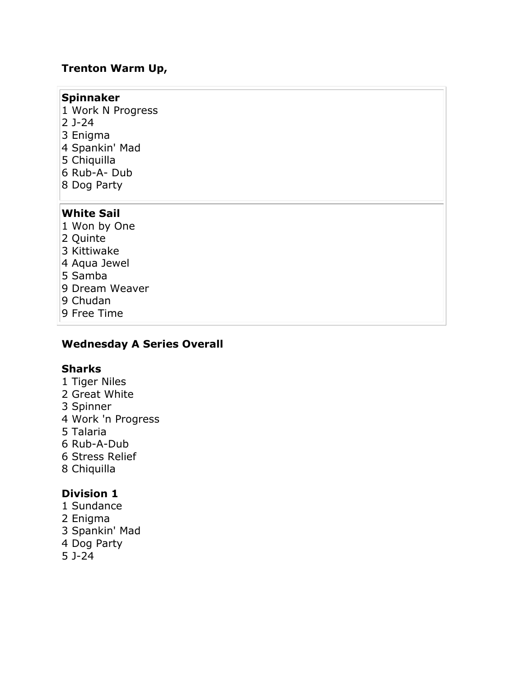#### **Trenton Warm Up,**

#### **Spinnaker**

- 1 Work N Progress
- 2 J-24
- 3 Enigma
- 4 Spankin' Mad
- 5 Chiquilla
- 6 Rub-A- Dub
- 8 Dog Party

#### **White Sail**

- 1 Won by One
- 2 Quinte
- 3 Kittiwake
- 4 Aqua Jewel
- 5 Samba
- 9 Dream Weaver
- 9 Chudan
- 9 Free Time

#### **Wednesday A Series Overall**

#### **Sharks**

- 1 Tiger Niles
- 2 Great White
- 3 Spinner
- 4 Work 'n Progress
- 5 Talaria
- 6 Rub-A-Dub
- 6 Stress Relief
- 8 Chiquilla

#### **Division 1**

- 1 Sundance
- 2 Enigma
- 3 Spankin' Mad
- 4 Dog Party
- 5 J-24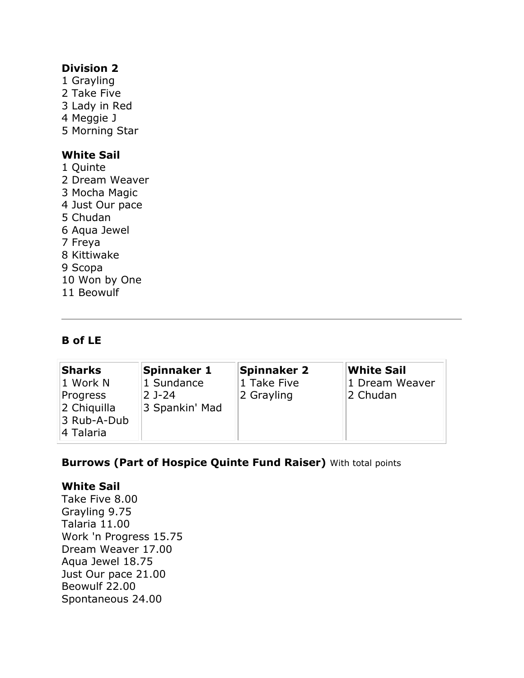#### **Division 2**

1 Grayling 2 Take Five 3 Lady in Red 4 Meggie J 5 Morning Star

#### **White Sail**

- 1 Quinte
- 2 Dream Weaver
- 3 Mocha Magic
- 4 Just Our pace
- 5 Chudan
- 6 Aqua Jewel
- 7 Freya
- 8 Kittiwake
- 9 Scopa
- 10 Won by One
- 11 Beowulf

#### **B of LE**

| <b>Sharks</b> | Spinnaker 1    | Spinnaker 2 | White Sail     |
|---------------|----------------|-------------|----------------|
| 1 Work N      | 1 Sundance     | 1 Take Five | 1 Dream Weaver |
| Progress      | $2$ J-24       | 2 Grayling  | 2 Chudan       |
| 2 Chiquilla   | 3 Spankin' Mad |             |                |
| 3 Rub-A-Dub   |                |             |                |
| 4 Talaria     |                |             |                |

#### **Burrows (Part of Hospice Quinte Fund Raiser)** With total points

#### **White Sail**

Take Five 8.00 Grayling 9.75 Talaria 11.00 Work 'n Progress 15.75 Dream Weaver 17.00 Aqua Jewel 18.75 Just Our pace 21.00 Beowulf 22.00 Spontaneous 24.00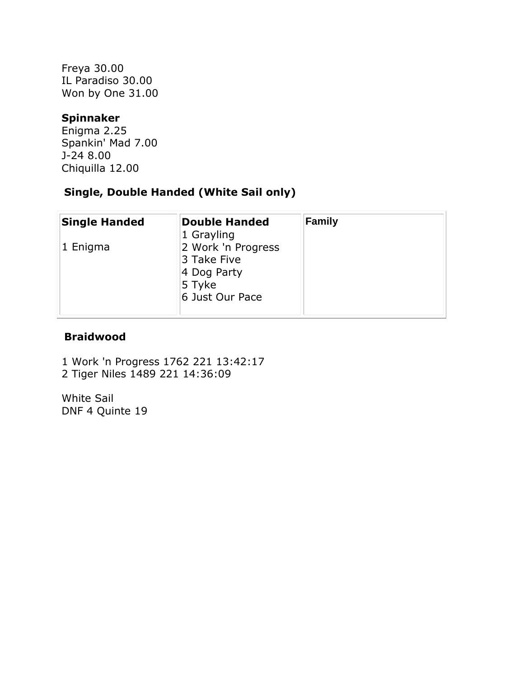Freya 30.00 IL Paradiso 30.00 Won by One 31.00

#### **Spinnaker**

Enigma 2.25 Spankin' Mad 7.00 J-24 8.00 Chiquilla 12.00

## **Single, Double Handed (White Sail only)**

| <b>Single Handed</b> | <b>Double Handed</b><br>1 Grayling                                            | <b>Family</b> |
|----------------------|-------------------------------------------------------------------------------|---------------|
| $ 1 \rangle$ Enigma  | 2 Work 'n Progress<br>3 Take Five<br>4 Dog Party<br>5 Tyke<br>6 Just Our Pace |               |

#### **Braidwood**

1 Work 'n Progress 1762 221 13:42:17 2 Tiger Niles 1489 221 14:36:09

White Sail DNF 4 Quinte 19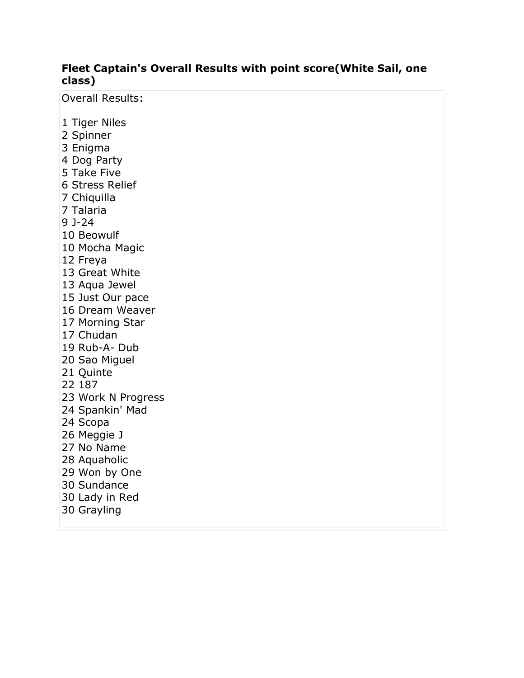#### **Fleet Captain's Overall Results with point score(White Sail, one class)**

Overall Results:

- 1 Tiger Niles
- 2 Spinner
- 3 Enigma
- 4 Dog Party
- 5 Take Five
- 6 Stress Relief
- 7 Chiquilla
- 7 Talaria
- 9 J-24
- 10 Beowulf
- 10 Mocha Magic
- 12 Freya
- 13 Great White
- 13 Aqua Jewel
- 15 Just Our pace
- 16 Dream Weaver
- 17 Morning Star
- 17 Chudan
- 19 Rub-A- Dub
- 20 Sao Miguel
- 21 Quinte
- 22 187
- 23 Work N Progress
- 24 Spankin' Mad
- 24 Scopa
- 26 Meggie J
- 27 No Name
- 28 Aquaholic
- 29 Won by One
- 30 Sundance
- 30 Lady in Red
- 30 Grayling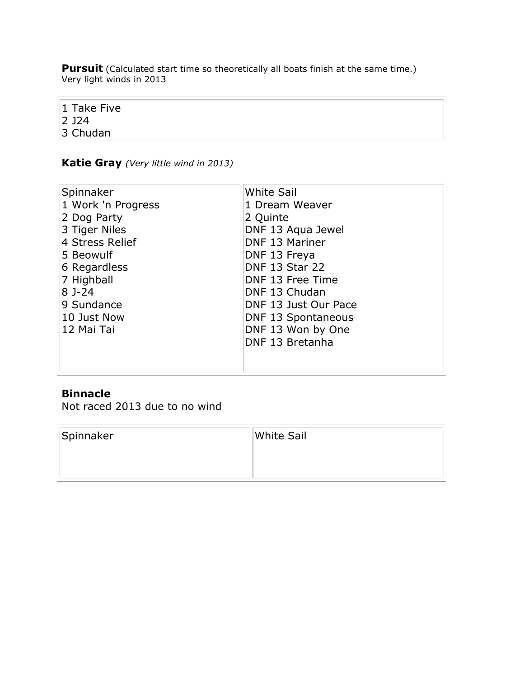**Pursuit** (Calculated start time so theoretically all boats finish at the same time.) Very light winds in 2013

1 Take Five 2 J24 3 Chudan

#### **Katie Gray** *(Very little wind in 2013)*

| Spinnaker          | <b>White Sail</b>         |
|--------------------|---------------------------|
| 1 Work 'n Progress | 1 Dream Weaver            |
| 2 Dog Party        | 2 Quinte                  |
| 3 Tiger Niles      | DNF 13 Aqua Jewel         |
| 4 Stress Relief    | DNF 13 Mariner            |
| 5 Beowulf          | DNF 13 Freya              |
| 6 Regardless       | <b>DNF 13 Star 22</b>     |
| 7 Highball         | DNF 13 Free Time          |
| $8J-24$            | DNF 13 Chudan             |
| 9 Sundance         | DNF 13 Just Our Pace      |
| 10 Just Now        | <b>DNF 13 Spontaneous</b> |
| 12 Mai Tai         | DNF 13 Won by One         |
|                    | DNF 13 Bretanha           |
|                    |                           |
|                    |                           |

## **Binnacle**

Not raced 2013 due to no wind

| Spinnaker | White Sail |
|-----------|------------|
|           |            |
|           |            |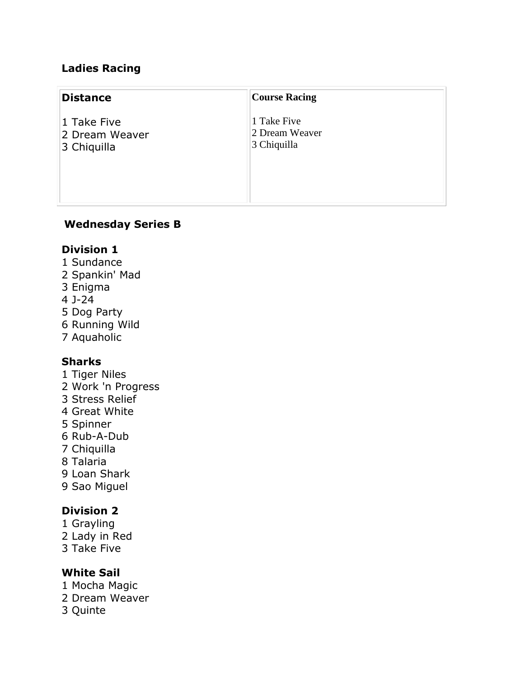### **Ladies Racing**

| <b>Distance</b>                              | <b>Course Racing</b>                         |  |
|----------------------------------------------|----------------------------------------------|--|
| 1 Take Five<br>2 Dream Weaver<br>3 Chiquilla | 1 Take Five<br>2 Dream Weaver<br>3 Chiquilla |  |

#### **Wednesday Series B**

#### **Division 1**

- 1 Sundance
- 2 Spankin' Mad
- 3 Enigma
- 4 J-24
- 5 Dog Party
- 6 Running Wild
- 7 Aquaholic

#### **Sharks**

- 1 Tiger Niles
- 2 Work 'n Progress
- 3 Stress Relief
- 4 Great White
- 5 Spinner
- 6 Rub-A-Dub
- 7 Chiquilla
- 8 Talaria
- 9 Loan Shark
- 9 Sao Miguel

## **Division 2**

- 1 Grayling
- 2 Lady in Red
- 3 Take Five

#### **White Sail**

- 1 Mocha Magic
- 2 Dream Weaver
- 3 Quinte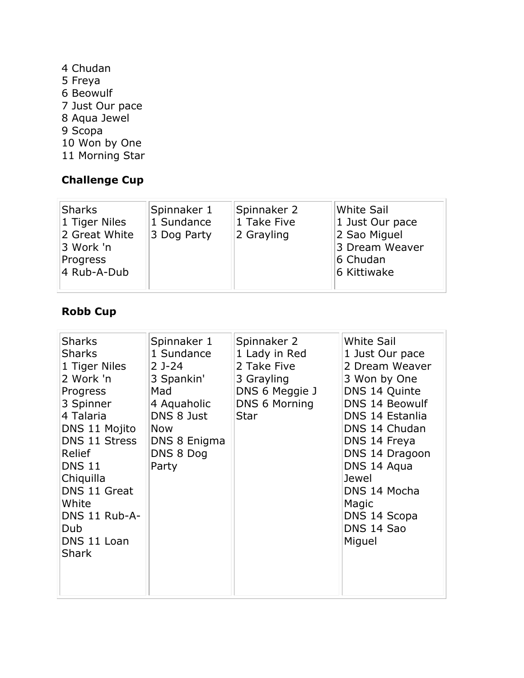4 Chudan 5 Freya 6 Beowulf 7 Just Our pace 8 Aqua Jewel 9 Scopa 10 Won by One 11 Morning Star

## **Challenge Cup**

| Sharks<br>1 Tiger Niles<br>2 Great White<br>3 Work 'n<br>Progress | Spinnaker 1<br>1 Sundance<br>3 Dog Party | Spinnaker 2<br>$ 1$ Take Five<br>2 Grayling | White Sail<br>1 Just Our pace<br>2 Sao Miguel<br>3 Dream Weaver<br>6 Chudan |
|-------------------------------------------------------------------|------------------------------------------|---------------------------------------------|-----------------------------------------------------------------------------|
| 4 Rub-A-Dub                                                       |                                          |                                             | 6 Kittiwake                                                                 |

## **Robb Cup**

| <b>Sharks</b><br><b>Sharks</b><br>1 Tiger Niles<br>2 Work 'n<br>Progress<br>3 Spinner<br>4 Talaria<br>DNS 11 Mojito<br>DNS 11 Stress<br>Relief<br><b>DNS 11</b><br>Chiquilla<br>DNS 11 Great<br>White<br>DNS 11 Rub-A-<br>Dub<br>DNS 11 Loan<br><b>Shark</b> | Spinnaker 1<br>1 Sundance<br>$2$ J-24<br>3 Spankin'<br>Mad<br>4 Aquaholic<br>DNS 8 Just<br><b>Now</b><br>DNS 8 Enigma<br>DNS 8 Dog<br>Party | Spinnaker 2<br>1 Lady in Red<br>2 Take Five<br>3 Grayling<br>DNS 6 Meggie J<br>DNS 6 Morning<br><b>Star</b> | <b>White Sail</b><br>1 Just Our pace<br>2 Dream Weaver<br>3 Won by One<br>DNS 14 Quinte<br><b>DNS 14 Beowulf</b><br>DNS 14 Estanlia<br>DNS 14 Chudan<br>DNS 14 Freya<br>DNS 14 Dragoon<br>DNS 14 Aqua<br>Jewel<br>DNS 14 Mocha<br>Magic<br>DNS 14 Scopa<br>DNS 14 Sao<br>Miguel |
|--------------------------------------------------------------------------------------------------------------------------------------------------------------------------------------------------------------------------------------------------------------|---------------------------------------------------------------------------------------------------------------------------------------------|-------------------------------------------------------------------------------------------------------------|---------------------------------------------------------------------------------------------------------------------------------------------------------------------------------------------------------------------------------------------------------------------------------|
|--------------------------------------------------------------------------------------------------------------------------------------------------------------------------------------------------------------------------------------------------------------|---------------------------------------------------------------------------------------------------------------------------------------------|-------------------------------------------------------------------------------------------------------------|---------------------------------------------------------------------------------------------------------------------------------------------------------------------------------------------------------------------------------------------------------------------------------|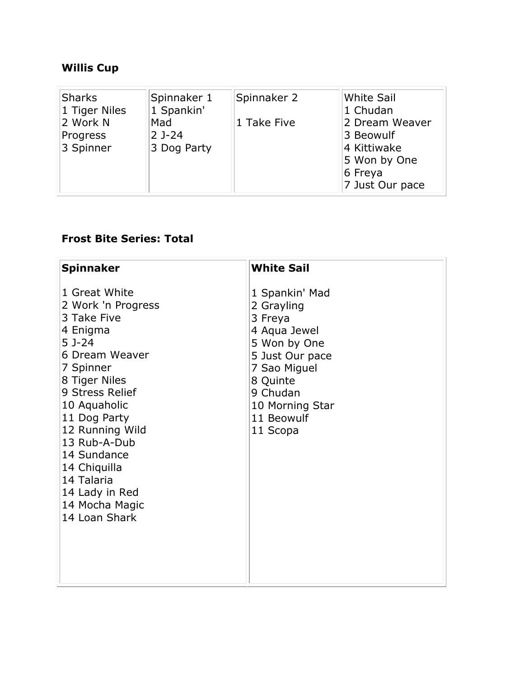## **Willis Cup**

| Sharks                            | Spinnaker 1                    | Spinnaker 2 | White Sail                                                                               |
|-----------------------------------|--------------------------------|-------------|------------------------------------------------------------------------------------------|
| 1 Tiger Niles                     | 1 Spankin'                     |             | 1 Chudan                                                                                 |
| 2 Work N<br>Progress<br>3 Spinner | Mad<br>$2$ J-24<br>3 Dog Party | 1 Take Five | 2 Dream Weaver<br>3 Beowulf<br>4 Kittiwake<br>5 Won by One<br>6 Freya<br>7 Just Our pace |

## **Frost Bite Series: Total**

| <b>Spinnaker</b>                                                                                                                                                                                                                                                                                                 | <b>White Sail</b>                                                                                                                                                               |
|------------------------------------------------------------------------------------------------------------------------------------------------------------------------------------------------------------------------------------------------------------------------------------------------------------------|---------------------------------------------------------------------------------------------------------------------------------------------------------------------------------|
| 1 Great White<br>2 Work 'n Progress<br>3 Take Five<br>4 Enigma<br>5 J-24<br>6 Dream Weaver<br>7 Spinner<br>8 Tiger Niles<br>9 Stress Relief<br>10 Aquaholic<br>11 Dog Party<br>12 Running Wild<br>13 Rub-A-Dub<br>14 Sundance<br>14 Chiquilla<br>14 Talaria<br>14 Lady in Red<br>14 Mocha Magic<br>14 Loan Shark | 1 Spankin' Mad<br>2 Grayling<br>3 Freya<br>4 Aqua Jewel<br>5 Won by One<br>5 Just Our pace<br>7 Sao Miguel<br>8 Quinte<br>9 Chudan<br>10 Morning Star<br>11 Beowulf<br>11 Scopa |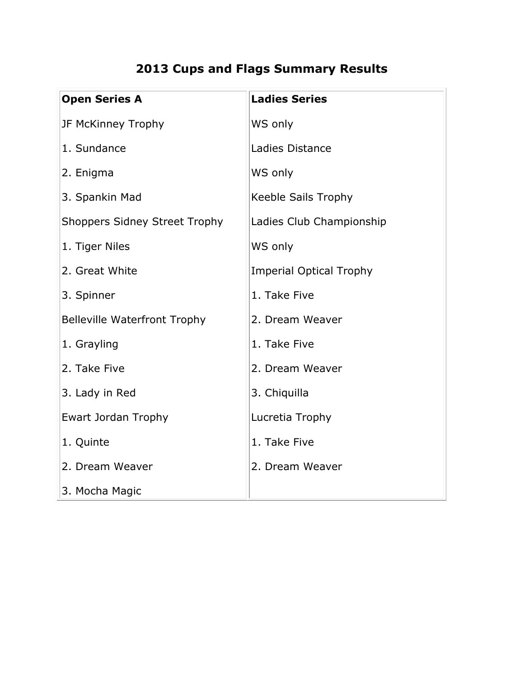# **2013 Cups and Flags Summary Results**

| <b>Open Series A</b>                 | <b>Ladies Series</b>           |
|--------------------------------------|--------------------------------|
| JF McKinney Trophy                   | WS only                        |
| 1. Sundance                          | Ladies Distance                |
| 2. Enigma                            | WS only                        |
| 3. Spankin Mad                       | Keeble Sails Trophy            |
| <b>Shoppers Sidney Street Trophy</b> | Ladies Club Championship       |
| 1. Tiger Niles                       | WS only                        |
| 2. Great White                       | <b>Imperial Optical Trophy</b> |
| 3. Spinner                           | 1. Take Five                   |
| <b>Belleville Waterfront Trophy</b>  | 2. Dream Weaver                |
| 1. Grayling                          | 1. Take Five                   |
| 2. Take Five                         | 2. Dream Weaver                |
| 3. Lady in Red                       | 3. Chiquilla                   |
| Ewart Jordan Trophy                  | Lucretia Trophy                |
| 1. Quinte                            | 1. Take Five                   |
| 2. Dream Weaver                      | 2. Dream Weaver                |
| 3. Mocha Magic                       |                                |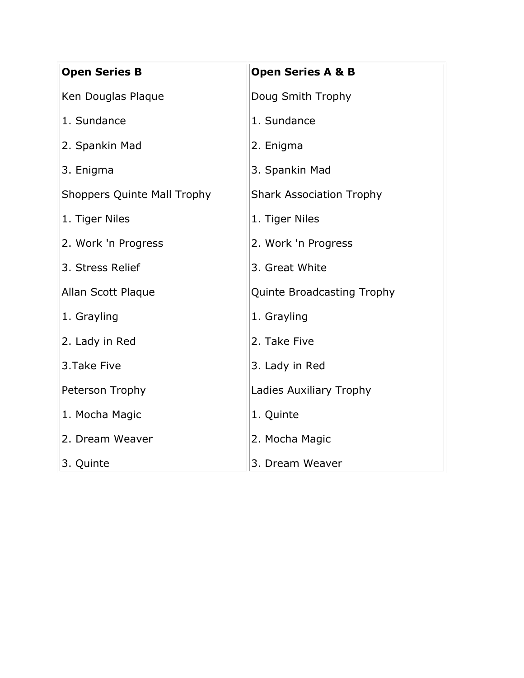| <b>Open Series B</b>               | <b>Open Series A &amp; B</b>    |
|------------------------------------|---------------------------------|
| Ken Douglas Plaque                 | Doug Smith Trophy               |
| 1. Sundance                        | 1. Sundance                     |
| 2. Spankin Mad                     | 2. Enigma                       |
| 3. Enigma                          | 3. Spankin Mad                  |
| <b>Shoppers Quinte Mall Trophy</b> | <b>Shark Association Trophy</b> |
| 1. Tiger Niles                     | 1. Tiger Niles                  |
| 2. Work 'n Progress                | 2. Work 'n Progress             |
| 3. Stress Relief                   | 3. Great White                  |
| Allan Scott Plaque                 | Quinte Broadcasting Trophy      |
| 1. Grayling                        | 1. Grayling                     |
| 2. Lady in Red                     | 2. Take Five                    |
| 3. Take Five                       | 3. Lady in Red                  |
| Peterson Trophy                    | Ladies Auxiliary Trophy         |
| 1. Mocha Magic                     | 1. Quinte                       |
| 2. Dream Weaver                    | 2. Mocha Magic                  |
| 3. Quinte                          | 3. Dream Weaver                 |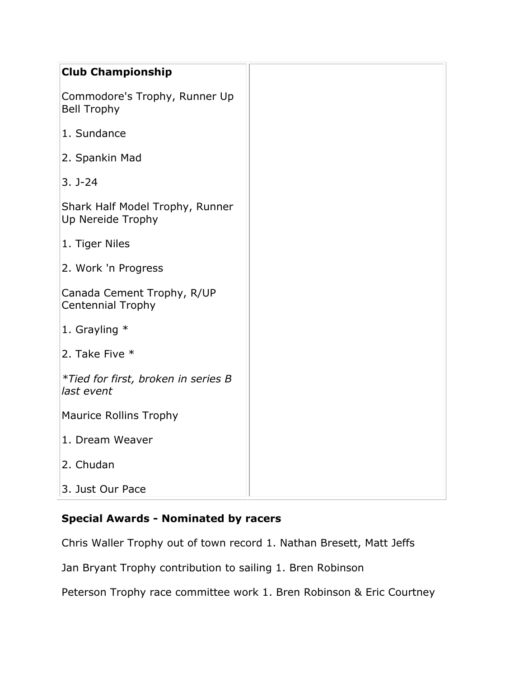| <b>Club Championship</b>                               |
|--------------------------------------------------------|
| Commodore's Trophy, Runner Up<br><b>Bell Trophy</b>    |
| 1. Sundance                                            |
| 2. Spankin Mad                                         |
| $3. J - 24$                                            |
| Shark Half Model Trophy, Runner<br>Up Nereide Trophy   |
| 1. Tiger Niles                                         |
| 2. Work 'n Progress                                    |
| Canada Cement Trophy, R/UP<br><b>Centennial Trophy</b> |
| 1. Grayling $*$                                        |
| 2. Take Five *                                         |
| *Tied for first, broken in series B<br>last event      |
| <b>Maurice Rollins Trophy</b>                          |
| 1. Dream Weaver                                        |
| 2. Chudan                                              |
| 3. Just Our Pace                                       |

#### **Special Awards - Nominated by racers**

Chris Waller Trophy out of town record 1. Nathan Bresett, Matt Jeffs

Jan Bryant Trophy contribution to sailing 1. Bren Robinson

Peterson Trophy race committee work 1. Bren Robinson & Eric Courtney